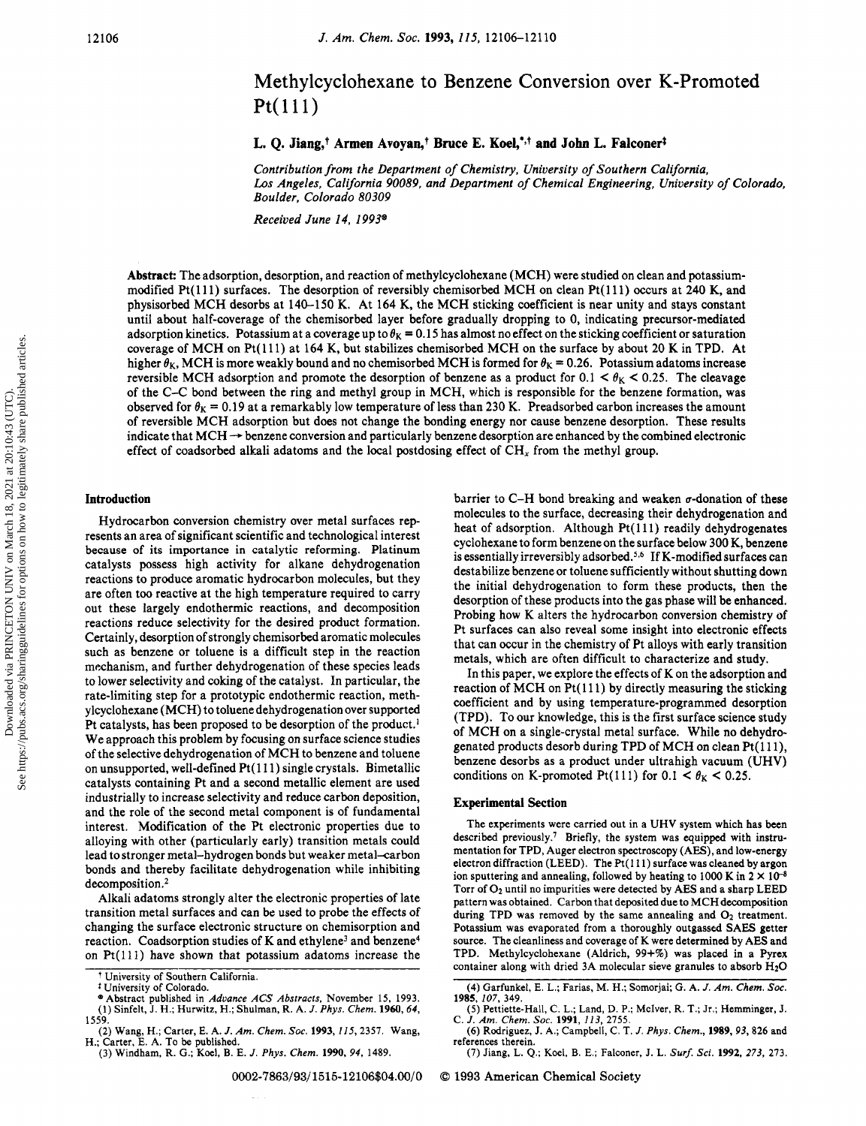# Methylcyclohexane to Benzene Conversion over K-Promoted Pt(lll)

## L. Q. Jiang,<sup>†</sup> Armen Avoyan,<sup>†</sup> Bruce E. Koel,<sup>\*,†</sup> and John L. Falconer<sup>‡</sup>

Contribution from the Department of Chemistry, University of Southern California, Los Angeles, California 90089, and Department of Chemical Engineering, University of Colorado, Boulder, Colorado 80309

Received June 14, 1993®

Abstract: The adsorption, desorption, and reaction of methylcyclohexane (MCH) were studied on clean and potassiummodified Pt(lll) surfaces. The desorption of reversibly chemisorbed MCH on clean Pt(lll) occurs at <sup>240</sup> K, and physisorbed MCH desorbs at 140-150 K. At <sup>164</sup> K, the MCH sticking coefficient is near unity and stays constant until about half-coverage of the chemisorbed layer before gradually dropping to 0, indicating precursor-mediated adsorption kinetics. Potassium at a coverage up to  $\theta_K = 0.15$  has almost no effect on the sticking coefficient or saturation coverage of MCH on Pt(lll) at <sup>164</sup> K, but stabilizes chemisorbed MCH on the surface by about <sup>20</sup> K in TPD. At higher  $\theta_K$ , MCH is more weakly bound and no chemisorbed MCH is formed for  $\theta_K = 0.26$ . Potassium adatoms increase reversible MCH adsorption and promote the desorption of benzene as a product for  $0.1 < \theta_K < 0.25$ . The cleavage of the C-C bond between the ring and methyl group in MCH, which is responsible for the benzene formation, was observed for  $\theta_K = 0.19$  at a remarkably low temperature of less than 230 K. Preadsorbed carbon increases the amount of reversible MCH adsorption but does not change the bonding energy nor cause benzene desorption. These results indicate that MCH -\* benzene conversion and particularly benzene desorption are enhanced by the combined electronic effect of coadsorbed alkali adatoms and the local postdosing effect of  $CH<sub>x</sub>$  from the methyl group.

#### Introduction

Hydrocarbon conversion chemistry over metal surfaces represents an area of significant scientific and technological interest because of its importance in catalytic reforming. Platinum catalysts possess high activity for alkane dehydrogenation reactions to produce aromatic hydrocarbon molecules, but they are often too reactive at the high temperature required to carry out these largely endothermic reactions, and decomposition reactions reduce selectivity for the desired product formation. Certainly, desorption of strongly chemisorbed aromatic molecules such as benzene or toluene is <sup>a</sup> difficult step in the reaction mechanism, and further dehydrogenation of these species leads to lower selectivity and coking of the catalyst. In particular, the rate-limiting step for <sup>a</sup> prototypic endothermic reaction, methylcyclohexane (MCH) to toluene dehydrogenation over supported Pt catalysts, has been proposed to be desorption of the product.<sup>1</sup> We approach this problem by focusing on surface science studies of the selective dehydrogenation of MCH to benzene and toluene on unsupported, well-defined  $Pt(111)$  single crystals. Bimetallic catalysts containing Pt and <sup>a</sup> second metallic element are used industrially to increase selectivity and reduce carbon deposition, and the role of the second metal component is of fundamental interest. Modification of the Pt electronic properties due to alloying with other (particularly early) transition metals could lead to stronger metal-hydrogen bonds but weaker metal-carbon bonds and thereby facilitate dehydrogenation while inhibiting decomposition.2

Alkali adatoms strongly alter the electronic properties of late transition metal surfaces and can be used to probe the effects of changing the surface electronic structure on chemisorption and reaction. Coadsorption studies of K and ethylene<sup>3</sup> and benzene<sup>4</sup> on Pt(lll) have shown that potassium adatoms increase the

(3) Windham, R. G.; Koel, B. E. J. Phys. Chem. 1990, 94, 1489.

barrier to C-H bond breaking and weaken  $\sigma$ -donation of these molecules to the surface, decreasing their dehydrogenation and heat of adsorption. Although Pt(111) readily dehydrogenates cyclohexane to form benzene on the surface below 300 K, benzene is essentially irreversibly adsorbed.<sup>5,6</sup> If K-modified surfaces can destabilize benzene or toluene sufficiently without shutting down the initial dehydrogenation to form these products, then the desorption of these products into the gas phase will be enhanced. Probing how K alters the hydrocarbon conversion chemistry of Pt surfaces can also reveal some insight into electronic effects that can occur in the chemistry of Pt alloys with early transition metals, which are often difficult to characterize and study.

In this paper, we explore the effects of K on the adsorption and reaction of MCH on  $Pt(111)$  by directly measuring the sticking coefficient and by using temperature-programmed desorption (TPD). To our knowledge, this is the first surface science study of MCH on <sup>a</sup> single-crystal metal surface. While no dehydrogenated products desorb during TPD of MCH on clean Pt(111), benzene desorbs as <sup>a</sup> product under ultrahigh vacuum (UHV) conditions on K-promoted Pt(111) for 0.1 <  $\theta_K$  < 0.25.

#### Experimental Section

The experiments were carried out in <sup>a</sup> UHV system which has been described previously.<sup>7</sup> Briefly, the system was equipped with instrumentation for TPD, Auger electron spectroscopy (AES), and low-energy electron diffraction (LEED). The Pt( 111) surface was cleaned by argon ion sputtering and annealing, followed by heating to 1000 K in  $2 \times 10^{-8}$ Torr of  $O_2$  until no impurities were detected by AES and a sharp LEED pattern was obtained. Carbon that deposited due to MCH decomposition during TPD was removed by the same annealing and  $O_2$  treatment. Potassium was evaporated from <sup>a</sup> thoroughly outgassed SAES getter source. The cleanliness and coverage of K were determined by AES and TPD. Methylcyclohexane (Aldrich, 99+%) was placed in <sup>a</sup> Pyrex container along with dried 3A molecular sieve granules to absorb  $H_2O$ 

(7) Jiang, L. Q.; Koel, B. E.; Falconer, J. L. Surf. Sci. 1992, 273, 273.

0002-7863/93/1515-12106\$04.00/0 © 1993 American Chemical Society

University of Southern California.

<sup>\*</sup> University of Colorado.

<sup>®</sup> Abstract published in Advance ACS Abstracts, November 15, 1993. (1) Sinfelt, J. H.; Hurwitz, H.; Shulman, R. A. J. Phys. Chem. 1960, 64, 1559.

<sup>(2)</sup> Wang, H.; Carter, E. A. J. Am. Chem. Soc. 1993, 115, 2357. Wang, H.; Carter, E. A. To be published.

<sup>(4)</sup> Garfunkel, E. L.; Farias, M. H.; Somorjai; G. A. J. Am. Chem. Soc. 1985, 107, 349.

<sup>(5)</sup> Pettiette-Hall, C. L.; Land, D. P.: Mclver, R. T.; Jr.; Hemminger, J. C. J. Am. Chem. Soc. 1991, 113, 2755.

<sup>(6)</sup> Rodriguez, J. A.; Campbell, C. T. J. Phys. Chem., 1989, 93, 826 and references therein.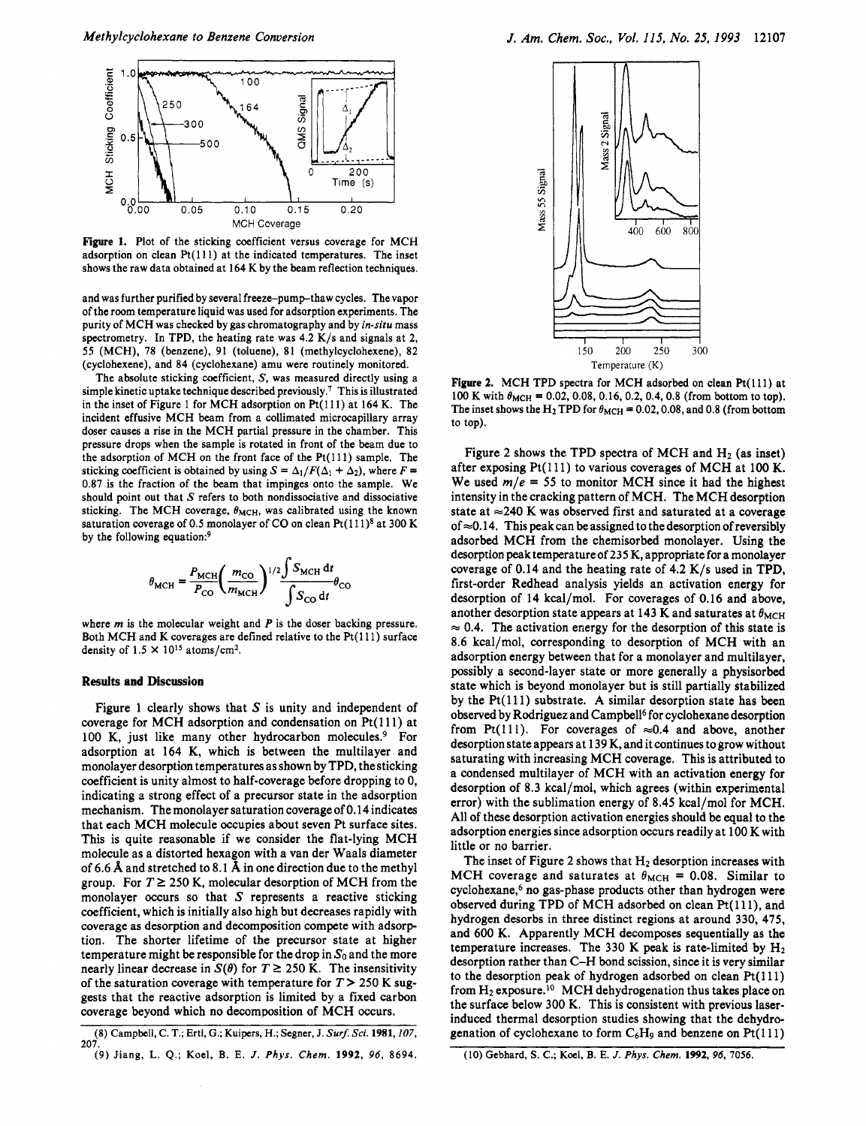

Figure 1. Plot of the sticking coefficient versus coverage for MCH adsorption on clean  $Pt(111)$  at the indicated temperatures. The inset shows the raw data obtained at <sup>164</sup> K by the beam reflection techniques.

and was further purified by several freeze-pump-thaw cycles. The vapor of the room temperature liquid was used for adsorption experiments. The purity of MCH was checked by gas chromatography and by in-situ mass spectrometry. In TPD, the heating rate was 4.2 K/s and signals at 2, 55 (MCH), 78 (benzene), 91 (toluene), <sup>81</sup> (methylcyclohexene), 82 (cyclohexene), and 84 (cyclohexane) amu were routinely monitored.

The absolute sticking coefficient, S, was measured directly using <sup>a</sup> simple kinetic uptake technique described previously.<sup>7</sup> This is illustrated in the inset of Figure 1 for MCH adsorption on  $Pt(111)$  at 164 K. The incident effusive MCH beam from <sup>a</sup> collimated microcapillary array doser causes <sup>a</sup> rise in the MCH partial pressure in the chamber. This pressure drops when the sample is rotated in front of the beam due to the adsorption of MCH on the front face of the  $Pt(111)$  sample. The sticking coefficient is obtained by using  $S = \Delta_1/F(\Delta_1 + \Delta_2)$ , where  $F =$ 0.87 is the fraction of the beam that impinges onto the sample. We should point out that  $S$  refers to both nondissociative and dissociative sticking. The MCH coverage,  $\theta_{MCH}$ , was calibrated using the known saturation coverage of 0.5 monolayer of CO on clean  $Pt(111)^8$  at 300 K by the following equation:<sup>9</sup>

$$
\theta_{\text{MCH}} = \frac{P_{\text{MCH}}}{P_{\text{CO}}} \left(\frac{m_{\text{CO}}}{m_{\text{MCH}}}\right)^{1/2} \frac{\int S_{\text{MCH}} \, \text{d}t}{\int S_{\text{CO}} \, \text{d}t} \theta_{\text{CC}}
$$

where  $m$  is the molecular weight and  $P$  is the doser backing pressure. Both MCH and K coverages are defined relative to the Pt(111) surface density of  $1.5 \times 10^{15}$  atoms/cm<sup>2</sup>.

#### Results and Discussion

Figure 1 clearly shows that  $S$  is unity and independent of coverage for MCH adsorption and condensation on Pt(111) at 100 K, just like many other hydrocarbon molecules.<sup>9</sup> For adsorption at 164 K, which is between the multilayer and monolayer desorption temperatures as shown by TPD, the sticking coefficient is unity almost to half-coverage before dropping to 0, indicating <sup>a</sup> strong effect of <sup>a</sup> precursor state in the adsorption mechanism. The monolayer saturation coverage of 0.14 indicates that each MCH molecule occupies about seven Pt surface sites. This is quite reasonable if we consider the flat-lying MCH molecule as <sup>a</sup> distorted hexagon with <sup>a</sup> van der Waals diameter of 6.6 Å and stretched to 8.1 Å in one direction due to the methyl group. For  $T \ge 250$  K, molecular desorption of MCH from the monolayer occurs so that  $S$  represents a reactive sticking coefficient, which is initially also high but decreases rapidly with coverage as desorption and decomposition compete with adsorption. The shorter lifetime of the precursor state at higher temperature might be responsible for the drop in  $S_0$  and the more nearly linear decrease in  $S(\theta)$  for  $T \ge 250$  K. The insensitivity of the saturation coverage with temperature for  $T > 250$  K suggests that the reactive adsorption is limited by <sup>a</sup> fixed carbon coverage beyond which no decomposition of MCH occurs.



Figure 2. MCH TPD spectra for MCH adsorbed on clean Pt(111) at 100 K with  $\theta_{MCH} = 0.02, 0.08, 0.16, 0.2, 0.4, 0.8$  (from bottom to top). The inset shows the H<sub>2</sub> TPD for  $\theta_{MCH} = 0.02, 0.08$ , and 0.8 (from bottom to top).

Figure 2 shows the TPD spectra of MCH and  $H_2$  (as inset) after exposing  $Pt(111)$  to various coverages of MCH at 100 K. We used  $m/e = 55$  to monitor MCH since it had the highest intensity in the cracking pattern of MCH. The MCH desorption state at  $\approx$  240 K was observed first and saturated at a coverage of  $\approx$  0.14. This peak can be assigned to the desorption of reversibly adsorbed MCH from the chemisorbed monolayer. Using the desorption peak temperature of <sup>23</sup> <sup>5</sup> K, appropriate for <sup>a</sup> monolayer coverage of 0.14 and the heating rate of 4.2 K/s used in TPD, first-order Redhead analysis yields an activation energy for desorption of <sup>14</sup> kcal/mol. For coverages of 0.16 and above, another desorption state appears at 143 K and saturates at  $\theta_{\text{MCH}}$  $\approx 0.4$ . The activation energy for the desorption of this state is 8.6 kcal/mol, corresponding to desorption of MCH with an adsorption energy between that for <sup>a</sup> monolayer and multilayer, possibly <sup>a</sup> second-layer state or more generally <sup>a</sup> physisorbed state which is beyond monolayer but is still partially stabilized by the Pt(lll) substrate. A similar desorption state has been observed by Rodriguez and Campbell<sup>6</sup> for cyclohexane desorption from Pt(111). For coverages of  $\approx 0.4$  and above, another desorption state appears at <sup>139</sup> K, and it continues to grow without saturating with increasing MCH coverage. This is attributed to <sup>a</sup> condensed multilayer of MCH with an activation energy for desorption of 8.3 kcal/mol, which agrees (within experimental error) with the sublimation energy of 8.45 kcal/mol for MCH. All of these desorption activation energies should be equal to the adsorption energies since adsorption occurs readily at <sup>100</sup> K with little or no barrier.

The inset of Figure 2 shows that  $H_2$  desorption increases with MCH coverage and saturates at  $\theta_{\text{MCH}} = 0.08$ . Similar to cyclohexane,<sup>6</sup> no gas-phase products other than hydrogen were observed during TPD of MCH adsorbed on clean Pt(111), and hydrogen desorbs in three distinct regions at around 330, 475, and 600 K. Apparently MCH decomposes sequentially as the temperature increases. The 330 K peak is rate-limited by  $H_2$ desorption rather than C-H bond scission, since it is very similar to the desorption peak of hydrogen adsorbed on clean  $Pt(111)$ from  $H_2$  exposure.<sup>10</sup> MCH dehydrogenation thus takes place on the surface below 300 K. This is consistent with previous laserinduced thermal desorption studies showing that the dehydrogenation of cyclohexane to form  $C_6H_9$  and benzene on  $Pt(111)$ 

<sup>(8)</sup> Campbell, C. T.; Ertl, G.; Kuipers, H.; Segner, J. Surf. Sci. 1981, 107, 207.

<sup>(9)</sup> Jiang, L. Q.; Koel, B. E. J. Phys. Chem. 1992, 96, 8694.

<sup>(10)</sup> Gebhard, S. C.; Koel, B. E. /. Phys. Chem. 1992, 96, 7056.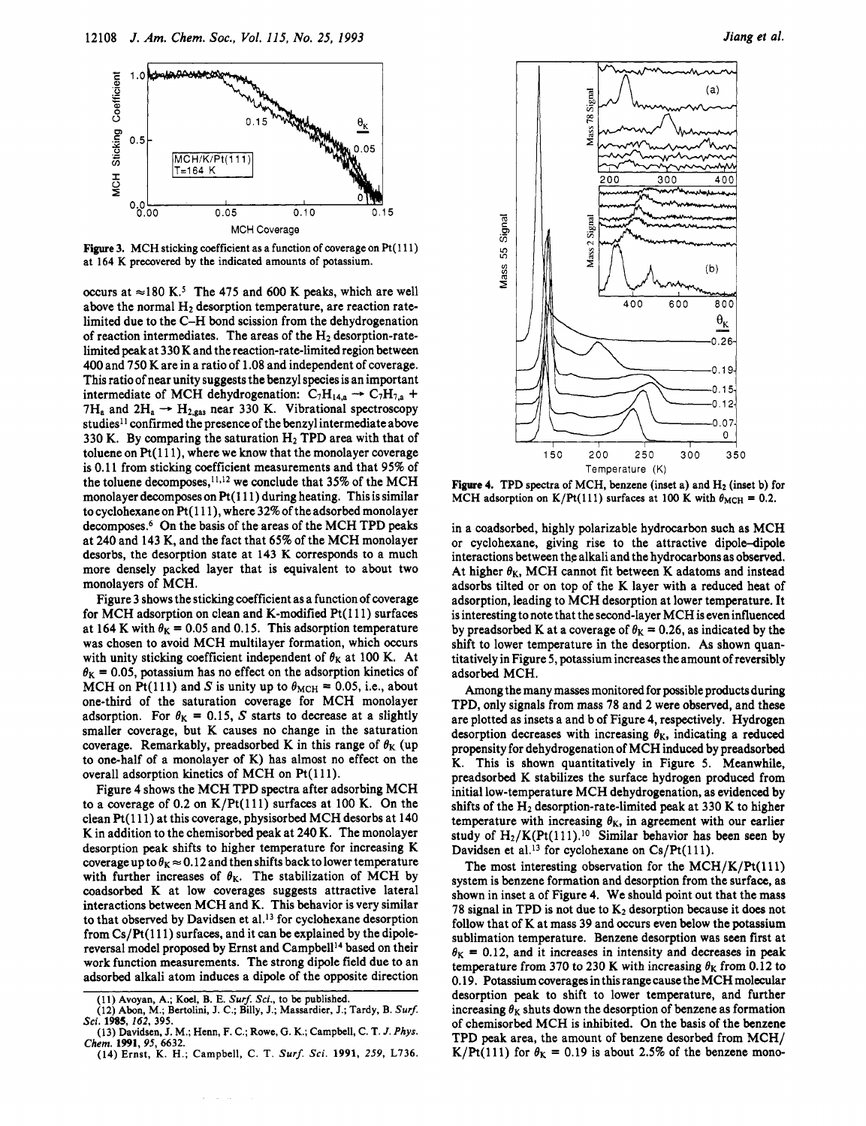

Figure 3. MCH sticking coefficient as a function of coverage on Pt(111) at <sup>164</sup> K precovered by the indicated amounts of potassium.

occurs at  $\approx$ 180 K.<sup>5</sup> The 475 and 600 K peaks, which are well above the normal  $H_2$  desorption temperature, are reaction ratelimited due to the C-H bond scission from the dehydrogenation of reaction intermediates. The areas of the  $H_2$  desorption-ratelimited peak at <sup>3</sup> <sup>30</sup> K and the reaction-rate-limited region between 400 and 750 K are in <sup>a</sup> ratio of 1.08 and independent of coverage. This ratio of near unity suggests the benzyl species is an important intermediate of MCH dehydrogenation:  $C_7H_{14,a} \rightarrow C_7H_{7,a}$  +  $7H_a$  and  $2H_a \rightarrow H_{2,gas}$  near 330 K. Vibrational spectroscopy studies<sup>11</sup> confirmed the presence of the benzyl intermediate above 330 K. By comparing the saturation  $H_2$  TPD area with that of toluene on  $Pt(111)$ , where we know that the monolayer coverage is 0.11 from sticking coefficient measurements and that 95% of the toluene decomposes, 11,12 we conclude that 35% of the MCH monolayer decomposes on Pt(111) during heating. This is similar to cyclohexane on Pt(111), where 32% of the adsorbed monolayer decomposes.6 On the basis of the areas of the MCH TPD peaks at 240 and <sup>143</sup> K, and the fact that 65% of the MCH monolayer desorbs, the desorption state at <sup>143</sup> K corresponds to <sup>a</sup> much more densely packed layer that is equivalent to about two monolayers of MCH.

Figure <sup>3</sup> shows the sticking coefficient as <sup>a</sup> function of coverage for MCH adsorption on clean and K-modified  $Pt(111)$  surfaces at 164 K with  $\theta_{\rm K} = 0.05$  and 0.15. This adsorption temperature was chosen to avoid MCH multilayer formation, which occurs with unity sticking coefficient independent of  $\theta_K$  at 100 K. At  $\theta_{\rm K} = 0.05$ , potassium has no effect on the adsorption kinetics of MCH on Pt(111) and S is unity up to  $\theta_{MCH} = 0.05$ , i.e., about one-third of the saturation coverage for MCH monolayer adsorption. For  $\theta_{K} = 0.15$ , S starts to decrease at a slightly smaller coverage, but K causes no change in the saturation coverage. Remarkably, preadsorbed K in this range of  $\theta_K$  (up to one-half of <sup>a</sup> monolayer of K) has almost no effect on the overall adsorption kinetics of MCH on Pt(111).

Figure <sup>4</sup> shows the MCH TPD spectra after adsorbing MCH to a coverage of 0.2 on  $K/Pt(111)$  surfaces at 100 K. On the clean Pt(l 11) at this coverage, physisorbed MCH desorbs at <sup>140</sup> K in addition to the chemisorbed peak at 240 K. The monolayer desorption peak shifts to higher temperature for increasing K coverage up to  $\theta_{\rm K} \approx 0.12$  and then shifts back to lower temperature with further increases of  $\theta_K$ . The stabilization of MCH by coadsorbed K at low coverages suggests attractive lateral interactions between MCH and K. This behavior is very similar to that observed by Davidsen et al.<sup>13</sup> for cyclohexane desorption from  $Cs/Pt(111)$  surfaces, and it can be explained by the dipolereversal model proposed by Ernst and Campbell<sup>14</sup> based on their work function measurements. The strong dipole field due to an adsorbed alkali atom induces <sup>a</sup> dipole of the opposite direction



Figure 4. TPD spectra of MCH, benzene (inset a) and  $H_2$  (inset b) for MCH adsorption on K/Pt(111) surfaces at 100 K with  $\theta_{\text{MCH}} = 0.2$ .

in <sup>a</sup> coadsorbed, highly polarizable hydrocarbon such as MCH or cyclohexane, giving rise to the attractive dipole-dipole interactions between the alkali and the hydrocarbons as observed. At higher  $\theta_K$ , MCH cannot fit between K adatoms and instead adsorbs tilted or on top of the K layer with <sup>a</sup> reduced heat of adsorption, leading to MCH desorption at lower temperature. It is interesting to note that the second-layer MCH is even influenced by preadsorbed K at a coverage of  $\theta_{\rm K} = 0.26$ , as indicated by the shift to lower temperature in the desorption. As shown quantitatively in Figure 5, potassium increases the amount of reversibly adsorbed MCH.

Among the many masses monitored for possible products during TPD, only signals from mass <sup>78</sup> and <sup>2</sup> were observed, and these are plotted as insets <sup>a</sup> and <sup>b</sup> of Figure 4, respectively. Hydrogen desorption decreases with increasing  $\theta_{\rm K}$ , indicating a reduced propensity for dehydrogenation of MCH induced by preadsorbed K. This is shown quantitatively in Figure 5. Meanwhile, preadsorbed K stabilizes the surface hydrogen produced from initial low-temperature MCH dehydrogenation, as evidenced by shifts of the  $H_2$  desorption-rate-limited peak at 330 K to higher temperature with increasing  $\theta_K$ , in agreement with our earlier study of  $H_2/K(Pt(111).<sup>10</sup>$  Similar behavior has been seen by Davidsen et al.<sup>13</sup> for cyclohexane on Cs/Pt(111).

The most interesting observation for the  $MCH/K/Pt(111)$ system is benzene formation and desorption from the surface, as shown in inset <sup>a</sup> of Figure 4. We should point out that the mass 78 signal in TPD is not due to  $K_2$  desorption because it does not follow that of K at mass 39 and occurs even below the potassium sublimation temperature. Benzene desorption was seen first at  $\theta_{\rm K} = 0.12$ , and it increases in intensity and decreases in peak temperature from 370 to 230 K with increasing  $\theta_{\rm K}$  from 0.12 to 0.19. Potassium coverages in this range cause the MCH molecular desorption peak to shift to lower temperature, and further increasing  $\theta_K$  shuts down the desorption of benzene as formation of chemisorbed MCH is inhibited. On the basis of the benzene TPD peak area, the amount of benzene desorbed from MCH/ K/Pt(111) for  $\theta_K = 0.19$  is about 2.5% of the benzene mono-

<sup>(11)</sup> Avoyan, A.; Koel, B. E. Surf. Sci., to be published.

<sup>(12)</sup> Abon, M.; Bertolini, J. C.; Billy, J.; Massardier, J.; Tardy, B. Surf. Sci. 1985, 162, 395.

<sup>(13)</sup> Davidsen, J. M.; Henn, F. C.; Rowe, G. K.; Campbell, C. T. J. Phys. Chem. 1991, 95, 6632.

<sup>(14)</sup> Ernst, K. H.; Campbell, C. T. Surf. Sci. 1991, 259, L736.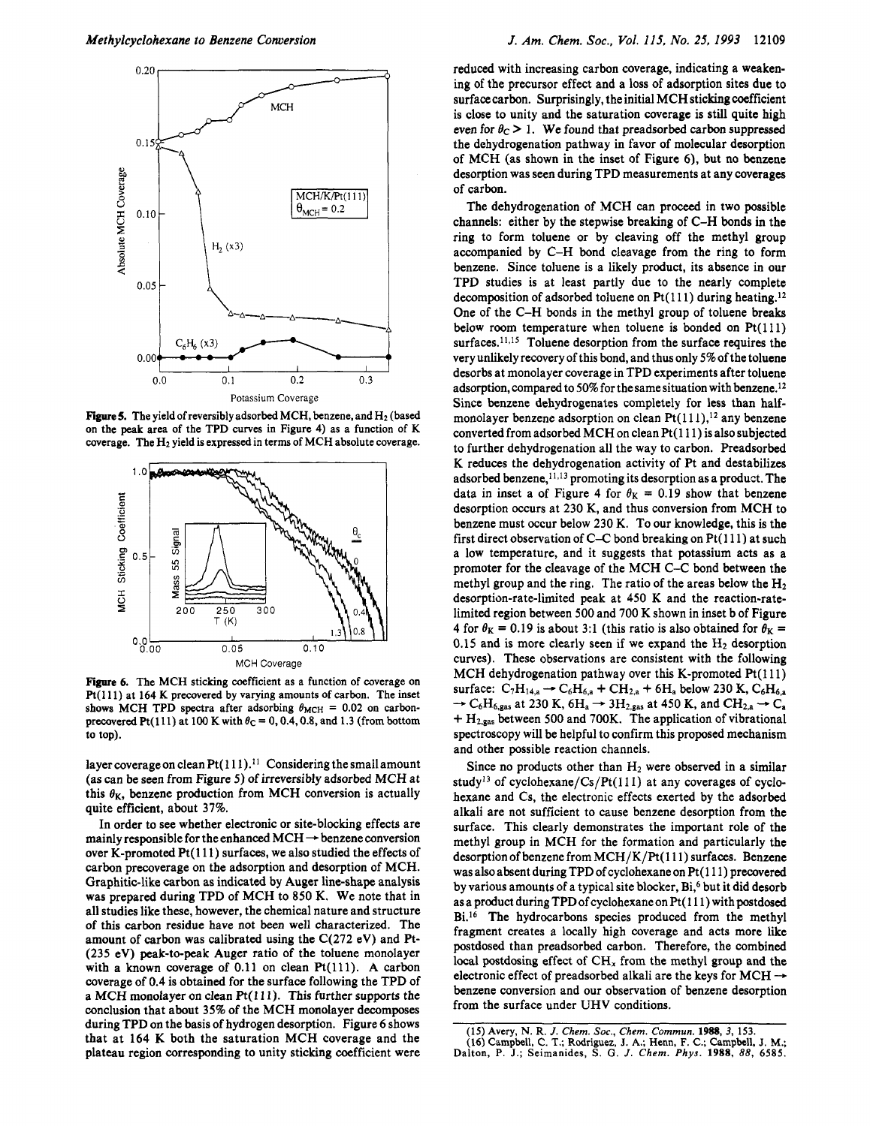

**Figure 5.** The yield of reversibly adsorbed MCH, benzene, and  $H_2$  (based on the peak area of the TPD curves in Figure 4) as <sup>a</sup> function of K coverage. The  $H_2$  yield is expressed in terms of MCH absolute coverage.



Figure 6. The MCH sticking coefficient as <sup>a</sup> function of coverage on  $Pt(111)$  at 164 K precovered by varying amounts of carbon. The inset shows MCH TPD spectra after adsorbing  $\theta_{MCH} = 0.02$  on carbonprecovered Pt(111) at 100 K with  $\theta_{\rm C} = 0, 0.4, 0.8,$  and 1.3 (from bottom to top).

layer coverage on clean  $Pt(111).<sup>11</sup>$  Considering the small amount (as can be seen from Figure 5) of irreversibly adsorbed MCH at this  $\theta_K$ , benzene production from MCH conversion is actually quite efficient, about 37%.

In order to see whether electronic or site-blocking effects are mainly responsible for the enhanced  $MCH \rightarrow$  benzene conversion over K-promoted Pt(lll) surfaces, we also studied the effects of carbon precoverage on the adsorption and desorption of MCH. Graphitic-like carbon as indicated by Auger line-shape analysis was prepared during TPD of MCH to <sup>850</sup> K. We note that in all studies like these, however, the chemical nature and structure of this carbon residue have not been well characterized. The amount of carbon was calibrated using the C(272 eV) and Pt- (235 eV) peak-to-peak Auger ratio of the toluene monolayer with a known coverage of 0.11 on clean Pt(111). A carbon coverage of 0.4 is obtained for the surface following the TPD of <sup>a</sup> MCH monolayer on clean Pt(l 11). This further supports the conclusion that about 35% of the MCH monolayer decomposes during TPD on the basis of hydrogen desorption. Figure <sup>6</sup> shows that at 164 K both the saturation MCH coverage and the plateau region corresponding to unity sticking coefficient were

reduced with increasing carbon coverage, indicating <sup>a</sup> weakening of the precursor effect and <sup>a</sup> loss of adsorption sites due to surface carbon. Surprisingly, the initial MCH sticking coefficient is close to unity and the saturation coverage is still quite high even for  $\theta_c > 1$ . We found that preadsorbed carbon suppressed the dehydrogenation pathway in favor of molecular desorption of MCH (as shown in the inset of Figure 6), but no benzene desorption was seen during TPD measurements at any coverages of carbon.

The dehydrogenation of MCH can proceed in two possible channels: either by the stepwise breaking of C-H bonds in the ring to form toluene or by cleaving off the methyl group accompanied by C-H bond cleavage from the ring to form benzene. Since toluene is <sup>a</sup> likely product, its absence in our TPD studies is at least partly due to the nearly complete decomposition of adsorbed toluene on  $Pt(111)$  during heating.<sup>12</sup> One of the C-H bonds in the methyl group of toluene breaks below room temperature when toluene is bonded on  $Pt(111)$ surfaces.<sup>11,15</sup> Toluene desorption from the surface requires the very unlikely recovery of this bond, and thus only 5% of the toluene desorbs at monolayer coverage in TPD experiments after toluene adsorption, compared to 50% for the same situation with benzene.12 Since benzene dehydrogenates completely for less than halfmonolayer benzene adsorption on clean  $Pt(111)$ ,<sup>12</sup> any benzene converted from adsorbed MCH on clean Pt(l 11) is also subjected to further dehydrogenation all the way to carbon. Preadsorbed K reduces the dehydrogenation activity of Pt and destabilizes adsorbed benzene,1113 promoting its desorption as <sup>a</sup> product. The data in inset a of Figure 4 for  $\theta_K = 0.19$  show that benzene desorption occurs at 230 K, and thus conversion from MCH to benzene must occur below 230 K. To our knowledge, this is the first direct observation of C-C bond breaking on  $Pt(111)$  at such <sup>a</sup> low temperature, and it suggests that potassium acts as <sup>a</sup> promoter for the cleavage of the MCH C-C bond between the methyl group and the ring. The ratio of the areas below the  $H_2$ desorption-rate-limited peak at 450 K and the reaction-ratelimited region between 500 and 700 K shown in inset <sup>b</sup> of Figure 4 for  $\theta_K = 0.19$  is about 3:1 (this ratio is also obtained for  $\theta_K =$ 0.15 and is more clearly seen if we expand the  $H_2$  desorption curves). These observations are consistent with the following MCH dehydrogenation pathway over this K-promoted Pt(111) surface:  $C_7H_{14,a} \rightarrow C_6H_{6,a} + CH_{2,a} + 6H_a$  below 230 K,  $C_6H_{6,a}$  $\rightarrow$  C<sub>6</sub>H<sub>6,gas</sub> at 230 K, 6H<sub>a</sub>  $\rightarrow$  3H<sub>2,gas</sub> at 450 K, and CH<sub>2,a</sub>  $\rightarrow$  C<sub>a</sub>  $+ H_{2,gas}$  between 500 and 700K. The application of vibrational spectroscopy will be helpful to confirm this proposed mechanism and other possible reaction channels.

Since no products other than  $H_2$  were observed in a similar study<sup>13</sup> of cyclohexane/Cs/Pt( $111$ ) at any coverages of cyclohexane and Cs, the electronic effects exerted by the adsorbed alkali are not sufficient to cause benzene desorption from the surface. This clearly demonstrates the important role of the methyl group in MCH for the formation and particularly the desorption of benzene from MCH/K/Pt(111) surfaces. Benzene was also absent during TPD of cyclohexane on Pt(111) precovered by various amounts of a typical site blocker, Bi,<sup>6</sup> but it did desorb as a product during TPD of cyclohexane on Pt(111) with postdosed Bi.16 The hydrocarbons species produced from the methyl fragment creates <sup>a</sup> locally high coverage and acts more like postdosed than preadsorbed carbon. Therefore, the combined local postdosing effect of  $CH<sub>x</sub>$  from the methyl group and the electronic effect of preadsorbed alkali are the keys for MCH  $\rightarrow$ benzene conversion and our observation of benzene desorption from the surface under UHV conditions.

<sup>(15)</sup> Avery, N. R. J. Chem. Soc., Chem. Commun. 1988, 3, 153. (16) Campbell, C. T.; Rodriguez, J. A.; Henn, F. C.; Campbell, J. M.; Dalton, P. J.; Seimanides, S. G. J. Chem. Phys. 1988, 88, 6585.